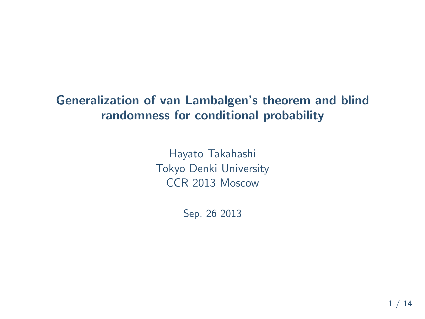## **Generalization of van Lambalgen's theorem and blind randomness for conditional probability**

Hayato Takahashi Tokyo Denki University CCR 2013 Moscow

Sep. 26 2013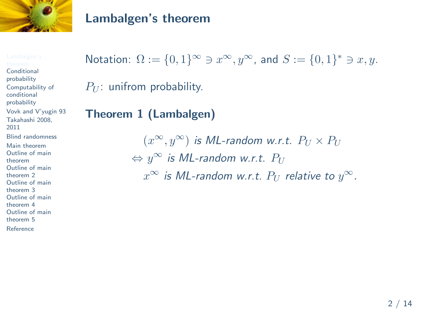

#### **Lambalgen's theorem**

**Conditional** probability Computability of conditional probability Vovk and V'yugin 93 Takahashi 2008, 2011 Blind randomness Main theorem Outline of main theorem Outline of main theorem 2 Outline of main theorem 3 Outline of main theorem 4 Outline of main theorem 5 Reference

# Notation:  $\Omega := \{0, 1\}^\infty \ni x^\infty, y^\infty$ , and  $S := \{0, 1\}^* \ni x, y$ .  $P_U$ : unifrom probability.

## **Theorem 1 (Lambalgen)**

 $(x^{\infty}, y^{\infty})$  *is ML-random w.r.t.*  $P_U \times P_U$ *⇔ y <sup>∞</sup> is ML-random w.r.t. P<sup>U</sup>*  $x^\infty$  *is ML-random w.r.t.*  $P_U$  *relative to*  $y^\infty.$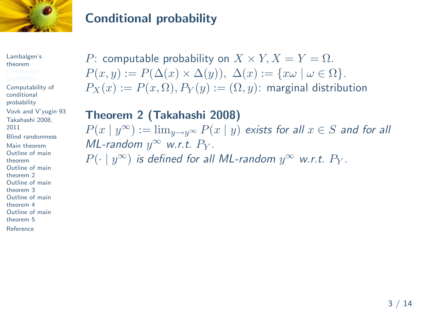

## **Conditional probability**

Lambalgen's theorem Computability of conditional probability Vovk and V'yugin 93 Takahashi 2008, 2011 Blind randomness Main theorem Outline of main theorem Outline of main theorem 2 Outline of main theorem 3 Outline of main theorem 4 Outline of main theorem 5 Reference

*P*: computable probability on  $X \times Y, X = Y = \Omega$ .  $P(x, y) := P(\Delta(x) \times \Delta(y)), \ \Delta(x) := \{x\omega \mid \omega \in \Omega\}.$  $P_X(x) := P(x, \Omega)$ ,  $P_Y(y) := (\Omega, y)$ : marginal distribution

**Theorem 2 (Takahashi 2008)**  $P(x \mid y^\infty) := \lim_{y \to y^\infty} P(x \mid y)$  *exists for all*  $x \in S$  *and for all ML*-random  $y^{\infty}$  *w.r.t.*  $P_Y$ *.*  $P(\cdot \mid y^{\infty})$  *is defined for all ML-random*  $y^{\infty}$  *w.r.t.*  $P_Y$ *.*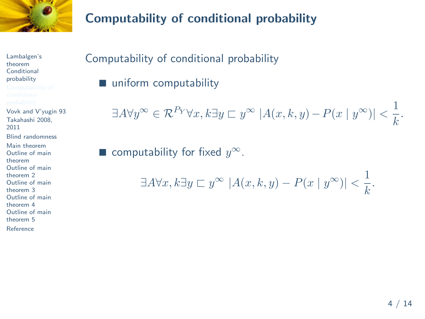

Lambalgen's theorem **Conditional** probability Vovk and V'yugin 93 Takahashi 2008, 2011 Blind randomness Main theorem Outline of main theorem Outline of main theorem 2 Outline of main theorem 3 Outline of main theorem 4 Outline of main theorem 5 Reference

# **Computability of conditional probability**

Computability of conditional probability

■ uniform computability

$$
\exists A \forall y^{\infty} \in \mathcal{R}^{P_Y} \forall x, k \exists y \sqsubset y^{\infty} \left| A(x, k, y) - P(x \mid y^{\infty}) \right| < \frac{1}{k}.
$$

■ computability for fixed  $y^{\infty}$ .

$$
\exists A \forall x, k \exists y \sqsubset y^{\infty} \left| A(x, k, y) - P(x \mid y^{\infty}) \right| < \frac{1}{k}.
$$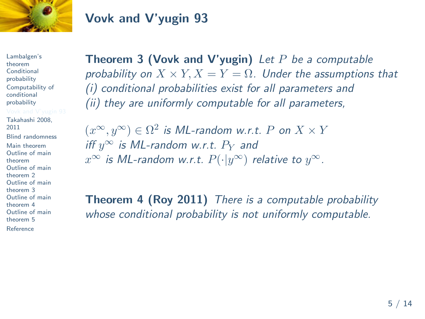

## **Vovk and V'yugin 93**

Lambalgen's theorem **Conditional** probability Computability of conditional probability

Takahashi 2008, 2011 Blind randomness Main theorem Outline of main theorem Outline of main theorem 2 Outline of main theorem 3 Outline of main theorem 4 Outline of main theorem 5 Reference

**Theorem 3 (Vovk and V'yugin)** *Let P be a computable probability on*  $X \times Y, X = Y = \Omega$ . Under the assumptions that *(i) conditional probabilities exist for all parameters and (ii) they are uniformly computable for all parameters,*

 $(x^{\infty}, y^{\infty}) \in \Omega^2$  *is ML-random w.r.t. P on*  $X \times Y$  $\int$ *iff*  $y^\infty$  *is ML-random w.r.t.*  $P_Y$  *and*  $x^{\infty}$  *is ML-random w.r.t.*  $P(\cdot|y^{\infty})$  *relative to*  $y^{\infty}$ *.* 

**Theorem 4 (Roy 2011)** *There is a computable probability whose conditional probability is not uniformly computable.*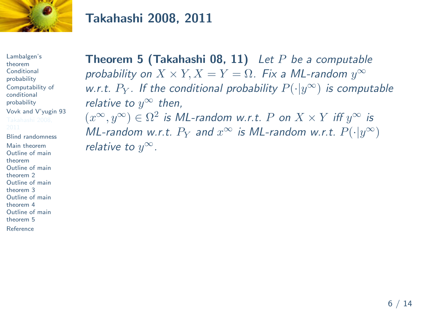

## **Takahashi 2008, 2011**

Lambalgen's theorem **Conditional** probability Computability of conditional probability Vovk and V'yugin 93 Blind randomness

Main theorem Outline of main theorem Outline of main theorem 2 Outline of main theorem 3 Outline of main theorem 4 Outline of main theorem 5

Reference

**Theorem 5 (Takahashi 08, 11)** *Let P be a computable probability on*  $X \times Y, X = Y = \Omega$ *. Fix a ML-random*  $y^{\infty}$ *w.r.t. P<sup>Y</sup> . If the conditional probability P*(*·|y ∞*) *is computable relative to*  $y^{\infty}$  *then,*  $(x^{\infty}, y^{\infty}) \in \Omega^2$  *is ML-random w.r.t. P on*  $X \times Y$  *iff*  $y^{\infty}$  *is ML-random w.r.t.*  $P_Y$  and  $x^{\infty}$  *is ML-random w.r.t.*  $P(\cdot|y^{\infty})$ 

*relative to*  $y^{\infty}$ *.*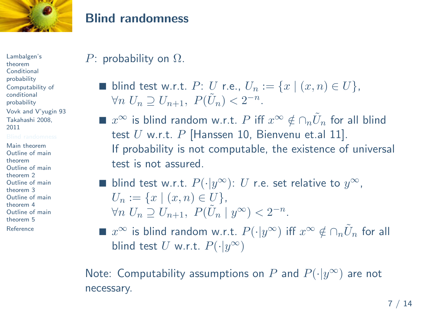

#### **Blind randomness**

Lambalgen's theorem **Conditional** probability Computability of conditional probability Vovk and V'yugin 93 Takahashi 2008, 2011

Main theorem Outline of main theorem Outline of main theorem 2 Outline of main theorem 3 Outline of main theorem 4 Outline of main theorem 5 Reference

## *P*: probability on Ω.

- blind test w.r.t. *P*: *U* r.e.,  $U_n := \{x \mid (x,n) \in U\},\$ *∀n*  $U_n \supseteq U_{n+1}$ ,  $P(\tilde{U}_n) < 2^{-n}$ .
- $x^\infty$  is blind random w.r.t.  $P$  iff  $x^\infty \notin \cap_n \tilde{U}_n$  for all blind test *U* w.r.t. *P* [Hanssen 10, Bienvenu et.al 11]. If probability is not computable, the existence of universal test is not assured.

■ blind test w.r.t. 
$$
P(\cdot | y^{\infty})
$$
: *U* r.e. set relative to  $y^{\infty}$ ,  
\n $U_n := \{x \mid (x, n) \in U\}$ ,  
\n $\forall n \ U_n \supseteq U_{n+1}$ ,  $P(\tilde{U}_n | y^{\infty}) < 2^{-n}$ .

■  $x^\infty$  is blind random w.r.t.  $P(\cdot|y^\infty)$  iff  $x^\infty \notin \cap_n \tilde{U}_n$  for all  $b$ lind test  $U$  w.r.t.  $P(\cdot | y^{\infty})$ 

Note: Computability assumptions on  $P$  and  $P(\cdot|y^{\infty})$  are not necessary.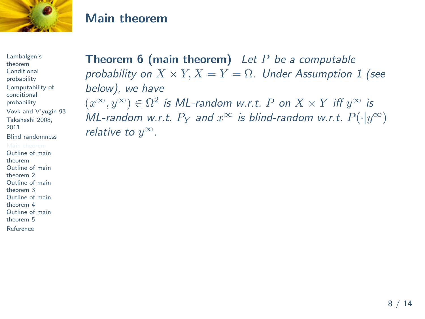

#### **Main theorem**

Lambalgen's theorem **Conditional** probability Computability of conditional probability Vovk and V'yugin 93 Takahashi 2008, 2011 Blind randomness Outline of main

theorem Outline of main theorem 2 Outline of main theorem 3 Outline of main theorem 4 Outline of main

theorem 5

Reference

**Theorem 6 (main theorem)** *Let P be a computable probability on X × Y, X* = *Y* = Ω*. Under Assumption 1 (see below), we have*  $(x^{\infty}, y^{\infty}) \in \Omega^2$  *is ML-random w.r.t. P on*  $X \times Y$  *iff*  $y^{\infty}$  *is ML-random w.r.t.*  $P_Y$  and  $x^{\infty}$  *is blind-random w.r.t.*  $P(\cdot|y^{\infty})$ *relative to*  $y^{\infty}$ *.*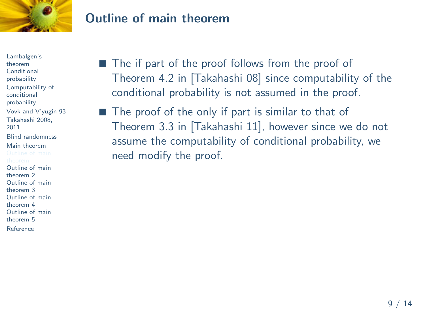

Lambalgen's theorem **Conditional** probability Computability of conditional probability Vovk and V'yugin 93 Takahashi 2008, 2011 Blind randomness Main theorem Outline of main theorem 2 Outline of main theorem 3 Outline of main theorem 4 Outline of main theorem 5 Reference

■ The if part of the proof follows from the proof of Theorem 4.2 in [Takahashi 08] since computability of the conditional probability is not assumed in the proof.

■ The proof of the only if part is similar to that of Theorem 3.3 in [Takahashi 11], however since we do not assume the computability of conditional probability, we need modify the proof.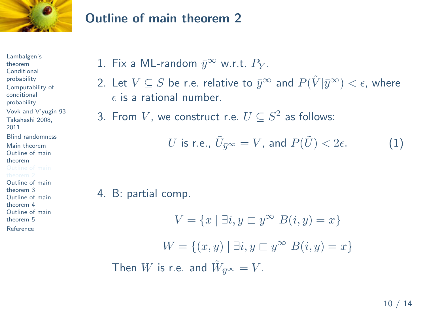

Lambalgen's theorem **Conditional** probability Computability of conditional probability Vovk and V'yugin 93 Takahashi 2008, 2011 Blind randomness Main theorem Outline of main theorem Outline of main theorem 3 Outline of main theorem 4 Outline of main theorem 5 Reference

## 1. Fix a ML-random  $\bar{y}^{\infty}$  w.r.t.  $P_Y$ .

 $2.$  Let  $V\subseteq S$  be r.e. relative to  $\bar y^{\infty}$  and  $P(\tilde{V}|\bar y^{\infty})<\epsilon,$  where  $\epsilon$  is a rational number.

3. From  $V$ , we construct r.e.  $U\subseteq S^2$  as follows:

$$
U \text{ is r.e., } \tilde{U}_{\bar{y}^{\infty}} = V \text{, and } P(\tilde{U}) < 2\epsilon. \tag{1}
$$

4. B: partial comp.

$$
V = \{x \mid \exists i, y \sqsubset y^{\infty} \ B(i, y) = x\}
$$

$$
W = \{(x, y) \mid \exists i, y \sqsubset y^{\infty} \ B(i, y) = x\}
$$
Then W is r.e. and  $\tilde{W}_{\bar{y}^{\infty}} = V$ .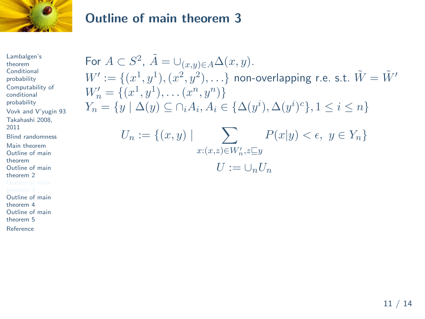

Lambalgen's theorem **Conditional** probability Computability of conditional probability Vovk and V'yugin 93 Takahashi 2008, 2011 Blind randomness Main theorem Outline of main theorem Outline of main theorem 2 Outline of main theorem 4 Outline of main theorem 5

Reference

For  $A \subset S^2$ ,  $\tilde{A} = \bigcup_{(x,y)\in A} \Delta(x,y)$ .  $W':=\{(x^1,y^1),(x^2,y^2),\ldots\}$  non-overlapping r.e. s.t.  $\tilde{W}=\tilde{W}'$  $W'_n = \{(x^1, y^1), \dots, (x^n, y^n)\}$  $Y_n = \{ y \mid \Delta(y) \subseteq \bigcap_i A_i, A_i \in \{ \Delta(y^i), \Delta(y^i)^c \}, 1 \le i \le n \}$  $U_n := \{(x, y) \mid \sum_{x \in \mathbb{R}^n} P(x|y) < \epsilon, y \in Y_n\}$ *x*: $(x,z) \in W'_n, z\ssubseteq y$  $U := \bigcup_{n} U_n$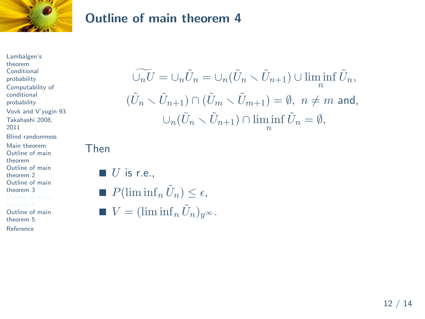

Lambalgen's theorem **Conditional** probability Computability of conditional probability Vovk and V'yugin 93 Takahashi 2008, 2011 Blind randomness Main theorem Outline of main theorem Outline of main theorem 2 Outline of main theorem 3 Outline of main

theorem 5

Reference

$$
\widetilde{\bigcup_n U} = \bigcup_n \widetilde{U}_n = \bigcup_n (\widetilde{U}_n \setminus \widetilde{U}_{n+1}) \cup \liminf_n \widetilde{U}_n,
$$
  

$$
(\widetilde{U}_n \setminus \widetilde{U}_{n+1}) \cap (\widetilde{U}_m \setminus \widetilde{U}_{m+1}) = \emptyset, \ n \neq m \text{ and,}
$$
  

$$
\bigcup_n (\widetilde{U}_n \setminus \widetilde{U}_{n+1}) \cap \liminf_n \widetilde{U}_n = \emptyset,
$$

Then

$$
\blacksquare U \text{ is r.e.,}
$$

\n- $$
P(\liminf_n \tilde{U}_n) \leq \epsilon,
$$
\n- $$
V = (\liminf_n \tilde{U}_n)_{y^\infty}.
$$
\n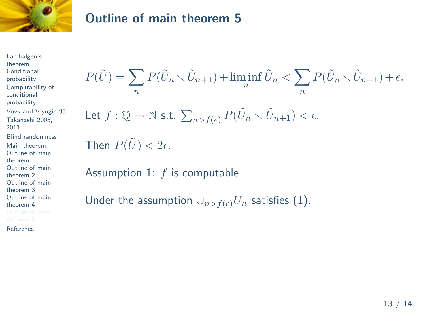

Lambalgen's theorem **Conditional** probability Computability of conditional probability Vovk and V'yugin 93 Takahashi 2008, 2011 Blind randomness Main theorem Outline of main theorem Outline of main theorem 2 Outline of main theorem 3 Outline of main theorem 4

Reference

*P*( $\tilde{U}$ ) =  $\sum P(\tilde{U}_n \setminus \tilde{U}_{n+1}) + \liminf$ *n n*  $\tilde{U}_n < \sum P(\tilde{U}_n \setminus \tilde{U}_{n+1}) + \epsilon.$ *n*  $P(\tilde{U}) = \sum_n P(\tilde{U}_n \smallsetminus \hat{U})$ <br>Let  $f: \mathbb{Q} \to \mathbb{N}$  s.t.  $\sum$  $P(\tilde{U}_n \setminus \tilde{U}_{n+1}) < \epsilon.$ Then  $P(\tilde{U}) < 2\epsilon$ . Assumption 1: *f* is computable

```
Under the assumption \cup_{n>f(\epsilon)}U_n satisfies (1).
```